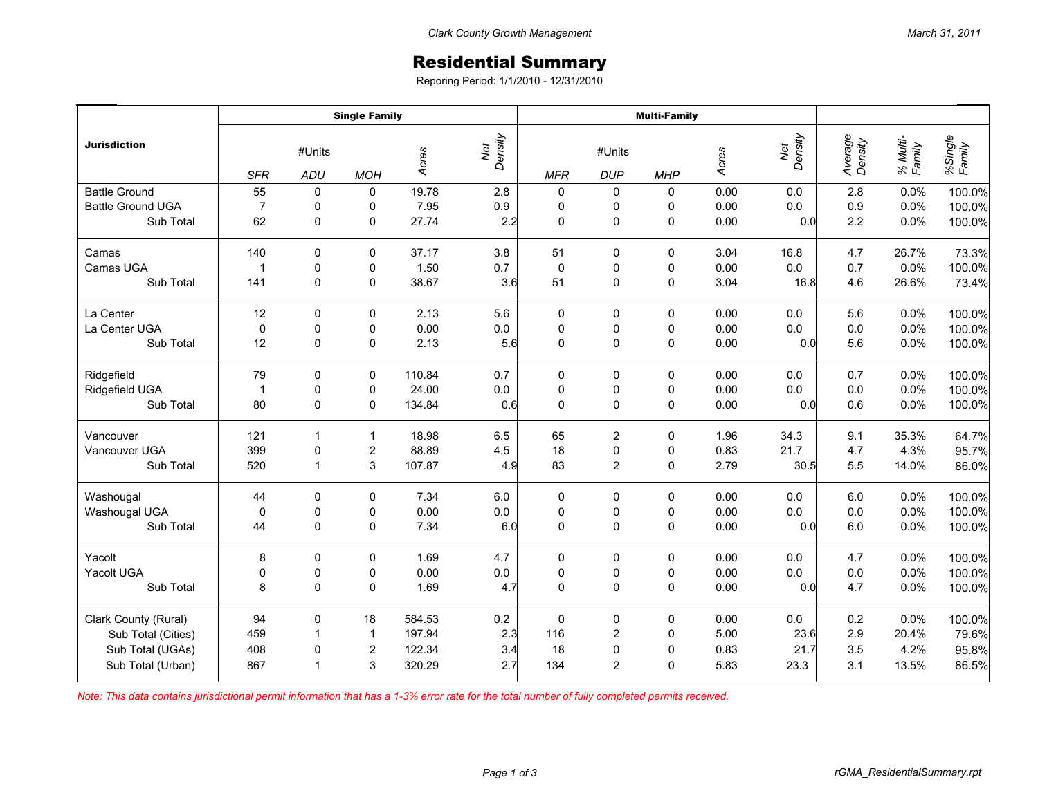## Residential Summary

Reporing Period: 1/1/2010 - 12/31/2010

|                          | <b>Single Family</b>               |                |                  |        |                | <b>Multi-Family</b> |                      |             |       |                |                    |                    |                   |
|--------------------------|------------------------------------|----------------|------------------|--------|----------------|---------------------|----------------------|-------------|-------|----------------|--------------------|--------------------|-------------------|
| <b>Jurisdiction</b>      | #Units<br><b>SFR</b><br><b>ADU</b> |                | <b>MOH</b>       | Acres  | Net<br>Density | <b>MFR</b>          | #Units<br><b>DUP</b> | <b>MHP</b>  | Acres | Density<br>Net | Average<br>Density | % Multi-<br>Family | %Single<br>Family |
| <b>Battle Ground</b>     | 55                                 | 0              | $\pmb{0}$        | 19.78  | 2.8            | 0                   | 0                    | 0           | 0.00  | 0.0            | 2.8                | 0.0%               | 100.0%            |
| <b>Battle Ground UGA</b> | $\overline{7}$                     | $\pmb{0}$      | 0                | 7.95   | 0.9            | $\pmb{0}$           | $\mathbf 0$          | 0           | 0.00  | 0.0            | 0.9                | 0.0%               | 100.0%            |
| Sub Total                | 62                                 | $\pmb{0}$      | $\pmb{0}$        | 27.74  | 2.2            | 0                   | 0                    | 0           | 0.00  | 0.0            | 2.2                | 0.0%               | 100.0%            |
| Camas                    | 140                                | 0              | 0                | 37.17  | $3.8\,$        | 51                  | 0                    | 0           | 3.04  | 16.8           | 4.7                | 26.7%              | 73.3%             |
| Camas UGA                | $\mathbf{1}$                       | $\pmb{0}$      | $\pmb{0}$        | 1.50   | 0.7            | $\mathbf 0$         | 0                    | 0           | 0.00  | $0.0\,$        | 0.7                | 0.0%               | 100.0%            |
| Sub Total                | 141                                | $\mathbf 0$    | $\mathbf 0$      | 38.67  | 3.6            | 51                  | 0                    | $\mathbf 0$ | 3.04  | 16.8           | 4.6                | 26.6%              | 73.4%             |
| La Center                | 12                                 | $\mathbf 0$    | $\mathbf 0$      | 2.13   | 5.6            | 0                   | 0                    | 0           | 0.00  | 0.0            | 5.6                | 0.0%               | 100.0%            |
| La Center UGA            | $\mathbf 0$                        | $\pmb{0}$      | 0                | 0.00   | $0.0\,$        | $\mathbf 0$         | 0                    | 0           | 0.00  | 0.0            | $0.0\,$            | 0.0%               | 100.0%            |
| Sub Total                | 12                                 | $\mathbf 0$    | $\pmb{0}$        | 2.13   | 5.6            | $\mathbf 0$         | 0                    | 0           | 0.00  | 0.0            | 5.6                | 0.0%               | 100.0%            |
| Ridgefield               | 79                                 | 0              | 0                | 110.84 | 0.7            | 0                   | 0                    | 0           | 0.00  | 0.0            | 0.7                | 0.0%               | 100.0%            |
| Ridgefield UGA           | $\mathbf{1}$                       | $\pmb{0}$      | $\pmb{0}$        | 24.00  | $0.0\,$        | $\pmb{0}$           | $\pmb{0}$            | $\pmb{0}$   | 0.00  | $0.0\,$        | 0.0                | 0.0%               | 100.0%            |
| Sub Total                | 80                                 | $\mathbf 0$    | $\mathbf 0$      | 134.84 | 0.6            | $\mathbf 0$         | 0                    | 0           | 0.00  | 0.0            | 0.6                | 0.0%               | 100.0%            |
| Vancouver                | 121                                | $\mathbf{1}$   | $\mathbf{1}$     | 18.98  | 6.5            | 65                  | $\overline{c}$       | $\mathbf 0$ | 1.96  | 34.3           | 9.1                | 35.3%              | 64.7%             |
| Vancouver UGA            | 399                                | $\pmb{0}$      | $\overline{c}$   | 88.89  | 4.5            | 18                  | 0                    | 0           | 0.83  | 21.7           | 4.7                | 4.3%               | 95.7%             |
| Sub Total                | 520                                | $\overline{1}$ | $\mathsf 3$      | 107.87 | 4.9            | 83                  | $\overline{2}$       | 0           | 2.79  | 30.5           | 5.5                | 14.0%              | 86.0%             |
| Washougal                | 44                                 | $\pmb{0}$      | 0                | 7.34   | 6.0            | $\pmb{0}$           | 0                    | $\pmb{0}$   | 0.00  | 0.0            | $6.0\,$            | 0.0%               | 100.0%            |
| Washougal UGA            | $\pmb{0}$                          | $\pmb{0}$      | $\pmb{0}$        | 0.00   | $0.0\,$        | $\pmb{0}$           | $\pmb{0}$            | $\pmb{0}$   | 0.00  | $0.0\,$        | 0.0                | 0.0%               | 100.0%            |
| Sub Total                | 44                                 | $\mathbf 0$    | $\mathbf 0$      | 7.34   | 6.0            | $\mathbf 0$         | 0                    | 0           | 0.00  | 0.0            | 6.0                | 0.0%               | 100.0%            |
| Yacolt                   | 8                                  | 0              | 0                | 1.69   | 4.7            | 0                   | 0                    | 0           | 0.00  | 0.0            | 4.7                | 0.0%               | 100.0%            |
| Yacolt UGA               | $\pmb{0}$                          | $\pmb{0}$      | $\pmb{0}$        | 0.00   | $0.0\,$        | 0                   | 0                    | 0           | 0.00  | 0.0            | $0.0\,$            | 0.0%               | 100.0%            |
| Sub Total                | 8                                  | $\mathbf 0$    | $\mathbf 0$      | 1.69   | 4.7            | $\mathbf 0$         | 0                    | 0           | 0.00  | 0.0            | 4.7                | 0.0%               | 100.0%            |
| Clark County (Rural)     | 94                                 | $\pmb{0}$      | 18               | 584.53 | 0.2            | $\mathbf 0$         | 0                    | 0           | 0.00  | $0.0\,$        | 0.2                | 0.0%               | 100.0%            |
| Sub Total (Cities)       | 459                                | $\overline{1}$ | $\mathbf{1}$     | 197.94 | 2.3            | 116                 | $\overline{c}$       | 0           | 5.00  | 23.6           | 2.9                | 20.4%              | 79.6%             |
| Sub Total (UGAs)         | 408                                | $\pmb{0}$      | $\boldsymbol{2}$ | 122.34 | 3.4            | 18                  | 0                    | 0           | 0.83  | 21.7           | 3.5                | 4.2%               | 95.8%             |
| Sub Total (Urban)        | 867                                | $\mathbf{1}$   | 3                | 320.29 | 2.7            | 134                 | $\overline{2}$       | 0           | 5.83  | 23.3           | 3.1                | 13.5%              | 86.5%             |

*Note: This data contains jurisdictional permit information that has a 1-3% error rate for the total number of fully completed permits received.*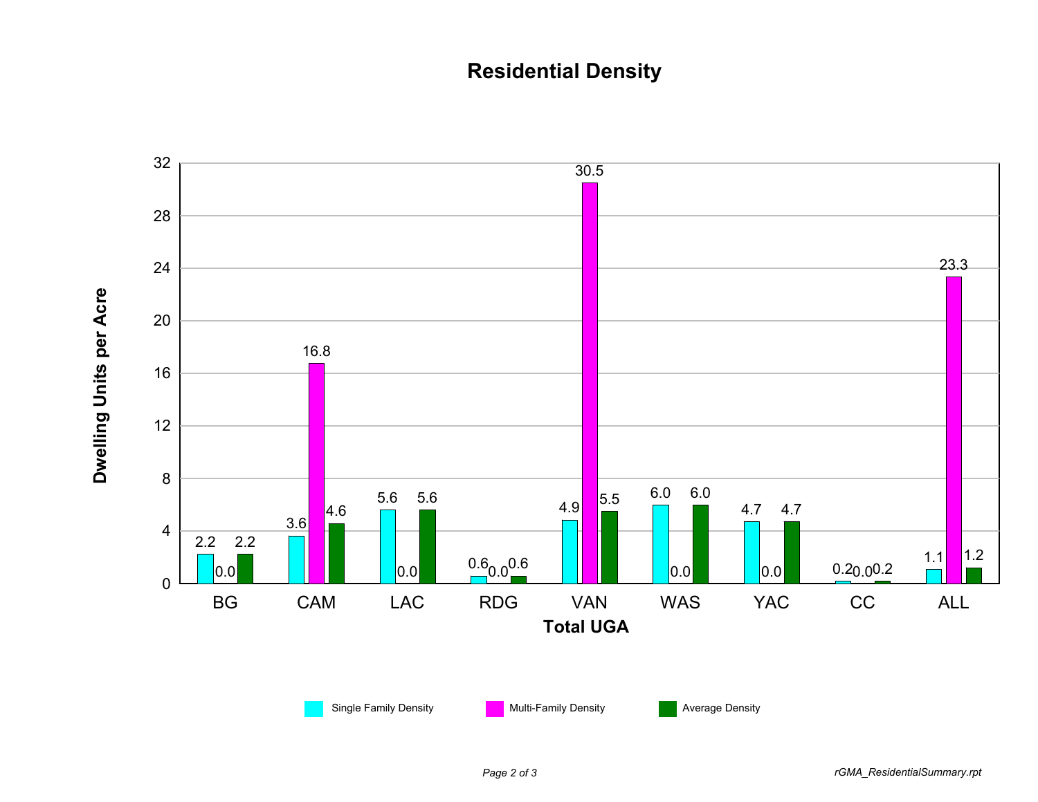## **Residential Density**

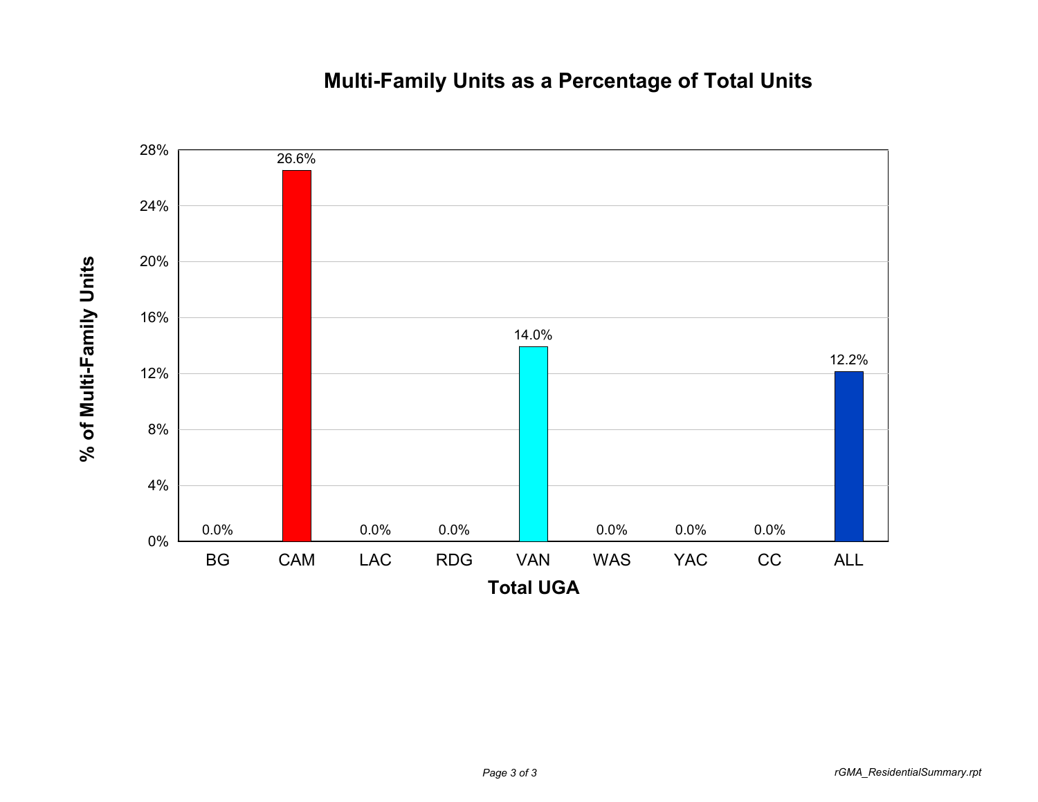## **Multi-Family Units as a Percentage of Total Units**